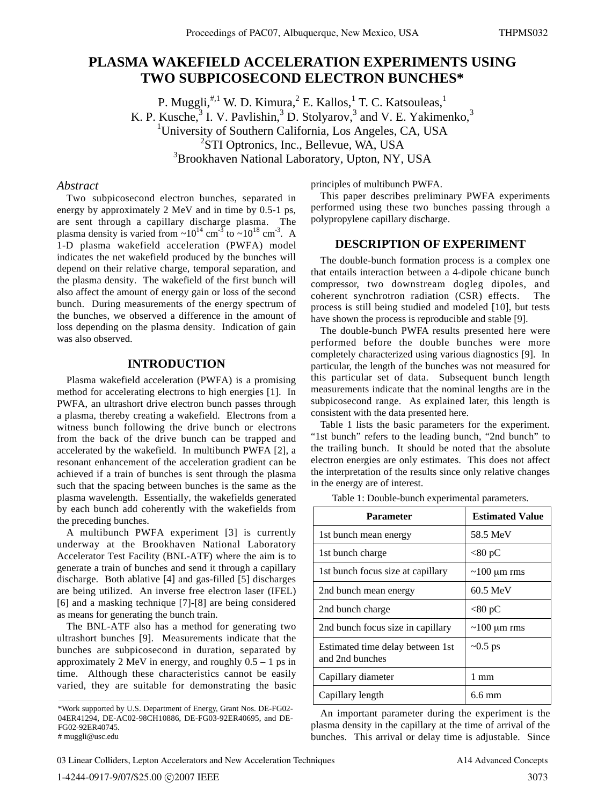# **PLASMA WAKEFIELD ACCELERATION EXPERIMENTS USING TWO SUBPICOSECOND ELECTRON BUNCHES\***

P. Muggli, $\overset{\#,1}{\sim}$  W. D. Kimura, $^2$  E. Kallos, $^1$  T. C. Katsouleas, $^1$ K. P. Kusche,<sup>3</sup> I. V. Pavlishin,<sup>3</sup> D. Stolyarov,<sup>3</sup> and V. E. Yakimenko,<sup>3</sup> <sup>1</sup>University of Southern California, Los Angeles, CA, USA <sup>2</sup>STI Optronics, Inc., Bellevue, WA, USA <sup>3</sup>Brookhaven National Laboratory, Upton, NY, USA

## *Abstract*

Two subpicosecond electron bunches, separated in energy by approximately 2 MeV and in time by 0.5-1 ps, are sent through a capillary discharge plasma. The plasma density is varied from  $\sim 10^{14}$  cm<sup>-3</sup> to  $\sim 10^{18}$  cm<sup>-3</sup>. A 1-D plasma wakefield acceleration (PWFA) model indicates the net wakefield produced by the bunches will depend on their relative charge, temporal separation, and the plasma density. The wakefield of the first bunch will also affect the amount of energy gain or loss of the second bunch. During measurements of the energy spectrum of the bunches, we observed a difference in the amount of loss depending on the plasma density. Indication of gain was also observed.

### **INTRODUCTION**

Plasma wakefield acceleration (PWFA) is a promising method for accelerating electrons to high energies [1]. In PWFA, an ultrashort drive electron bunch passes through a plasma, thereby creating a wakefield. Electrons from a witness bunch following the drive bunch or electrons from the back of the drive bunch can be trapped and accelerated by the wakefield. In multibunch PWFA [2], a resonant enhancement of the acceleration gradient can be achieved if a train of bunches is sent through the plasma such that the spacing between bunches is the same as the plasma wavelength. Essentially, the wakefields generated by each bunch add coherently with the wakefields from the preceding bunches.

A multibunch PWFA experiment [3] is currently underway at the Brookhaven National Laboratory Accelerator Test Facility (BNL-ATF) where the aim is to generate a train of bunches and send it through a capillary discharge. Both ablative [4] and gas-filled [5] discharges are being utilized. An inverse free electron laser (IFEL) [6] and a masking technique [7]-[8] are being considered as means for generating the bunch train.

The BNL-ATF also has a method for generating two ultrashort bunches [9]. Measurements indicate that the bunches are subpicosecond in duration, separated by approximately 2 MeV in energy, and roughly  $0.5 - 1$  ps in time. Although these characteristics cannot be easily varied, they are suitable for demonstrating the basic

principles of multibunch PWFA.

This paper describes preliminary PWFA experiments performed using these two bunches passing through a polypropylene capillary discharge.

#### **DESCRIPTION OF EXPERIMENT**

The double-bunch formation process is a complex one that entails interaction between a 4-dipole chicane bunch compressor, two downstream dogleg dipoles, and coherent synchrotron radiation (CSR) effects. The process is still being studied and modeled [10], but tests have shown the process is reproducible and stable [9].

The double-bunch PWFA results presented here were performed before the double bunches were more completely characterized using various diagnostics [9]. In particular, the length of the bunches was not measured for this particular set of data. Subsequent bunch length measurements indicate that the nominal lengths are in the subpicosecond range. As explained later, this length is consistent with the data presented here.

Table 1 lists the basic parameters for the experiment. "1st bunch" refers to the leading bunch, "2nd bunch" to the trailing bunch. It should be noted that the absolute electron energies are only estimates. This does not affect the interpretation of the results since only relative changes in the energy are of interest.

|  |  | Table 1: Double-bunch experimental parameters. |  |  |
|--|--|------------------------------------------------|--|--|
|--|--|------------------------------------------------|--|--|

| Parameter                                           | <b>Estimated Value</b> |  |
|-----------------------------------------------------|------------------------|--|
| 1st bunch mean energy                               | 58.5 MeV               |  |
| 1st bunch charge                                    | $<$ 80 pC              |  |
| 1st bunch focus size at capillary                   | $\sim$ 100 µm rms      |  |
| 2nd bunch mean energy                               | $60.5$ MeV             |  |
| 2nd bunch charge                                    | $<80$ pC               |  |
| 2nd bunch focus size in capillary                   | $\sim$ 100 µm rms      |  |
| Estimated time delay between 1st<br>and 2nd bunches | $\sim 0.5$ ps          |  |
| Capillary diameter                                  | 1 mm                   |  |
| Capillary length                                    | $6.6 \text{ mm}$       |  |

An important parameter during the experiment is the plasma density in the capillary at the time of arrival of the bunches. This arrival or delay time is adjustable. Since

 $\mathcal{L}_\mathcal{L}$  , and the set of the set of the set of the set of the set of the set of the set of the set of the set of the set of the set of the set of the set of the set of the set of the set of the set of the set of th

<sup>\*</sup>Work supported by U.S. Department of Energy, Grant Nos. DE-FG02- 04ER41294, DE-AC02-98CH10886, DE-FG03-92ER40695, and DE-FG02-92ER40745. # muggli@usc.edu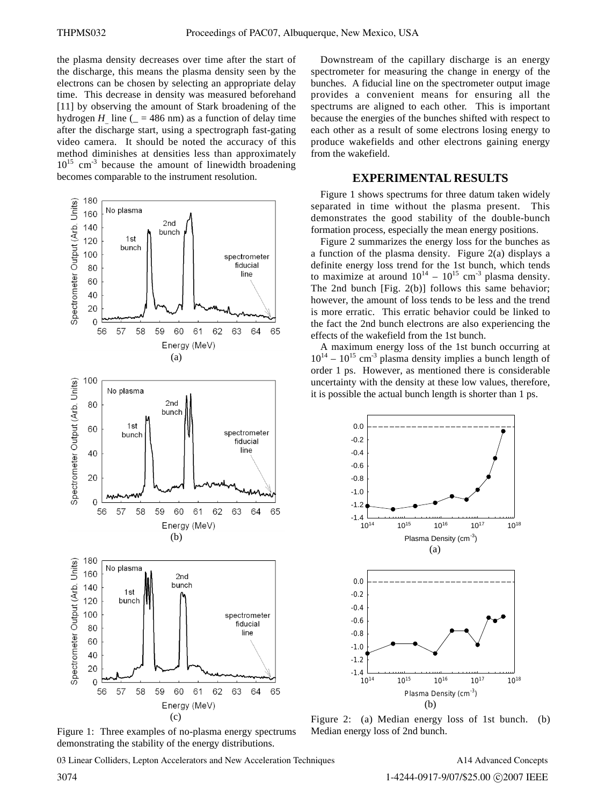the plasma density decreases over time after the start of the discharge, this means the plasma density seen by the electrons can be chosen by selecting an appropriate delay time. This decrease in density was measured beforehand [11] by observing the amount of Stark broadening of the hydrogen *H* line ( $= 486$  nm) as a function of delay time after the discharge start, using a spectrograph fast-gating video camera. It should be noted the accuracy of this method diminishes at densities less than approximately  $10^{15}$  cm<sup>-3</sup> because the amount of linewidth broadening becomes comparable to the instrument resolution.



Figure 1: Three examples of no-plasma energy spectrums demonstrating the stability of the energy distributions.

03 Linear Colliders, Lepton Accelerators and New Acceleration Techniques

Downstream of the capillary discharge is an energy spectrometer for measuring the change in energy of the bunches. A fiducial line on the spectrometer output image provides a convenient means for ensuring all the spectrums are aligned to each other. This is important because the energies of the bunches shifted with respect to each other as a result of some electrons losing energy to produce wakefields and other electrons gaining energy from the wakefield.

#### **EXPERIMENTAL RESULTS**

Figure 1 shows spectrums for three datum taken widely separated in time without the plasma present. This demonstrates the good stability of the double-bunch formation process, especially the mean energy positions.

Figure 2 summarizes the energy loss for the bunches as a function of the plasma density. Figure 2(a) displays a definite energy loss trend for the 1st bunch, which tends to maximize at around  $10^{14} - 10^{15}$  cm<sup>-3</sup> plasma density. The 2nd bunch [Fig. 2(b)] follows this same behavior; however, the amount of loss tends to be less and the trend is more erratic. This erratic behavior could be linked to the fact the 2nd bunch electrons are also experiencing the effects of the wakefield from the 1st bunch.

A maximum energy loss of the 1st bunch occurring at  $10^{14} - 10^{15}$  cm<sup>-3</sup> plasma density implies a bunch length of order 1 ps. However, as mentioned there is considerable uncertainty with the density at these low values, therefore, it is possible the actual bunch length is shorter than 1 ps.



Figure 2: (a) Median energy loss of 1st bunch. (b) Median energy loss of 2nd bunch.

A14 Advanced Concepts